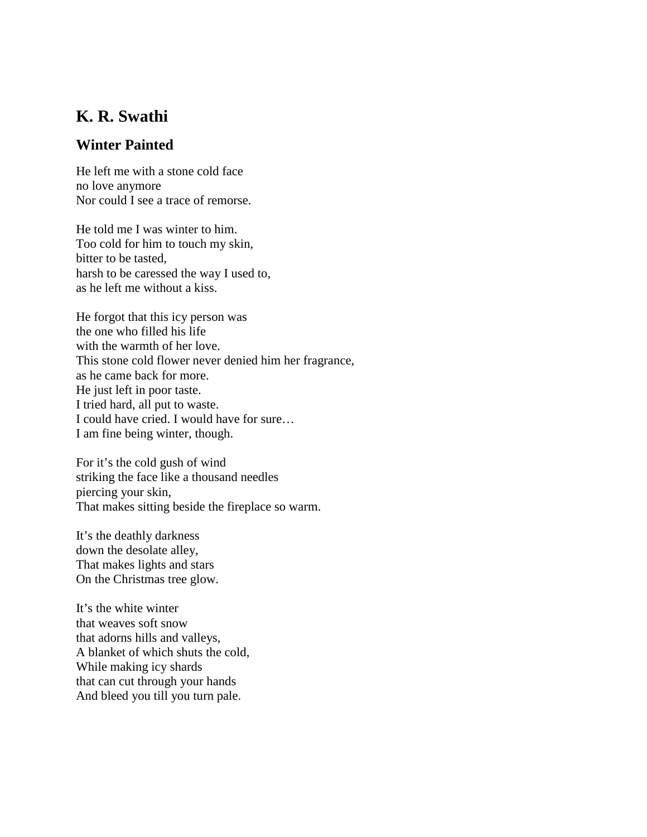## **K. R. Swathi**

## **Winter Painted**

He left me with a stone cold face no love anymore Nor could I see a trace of remorse.

He told me I was winter to him. Too cold for him to touch my skin, bitter to be tasted, harsh to be caressed the way I used to, as he left me without a kiss.

He forgot that this icy person was the one who filled his life with the warmth of her love. This stone cold flower never denied him her fragrance, as he came back for more. He just left in poor taste. I tried hard, all put to waste. I could have cried. I would have for sure… I am fine being winter, though.

For it's the cold gush of wind striking the face like a thousand needles piercing your skin, That makes sitting beside the fireplace so warm.

It's the deathly darkness down the desolate alley, That makes lights and stars On the Christmas tree glow.

It's the white winter that weaves soft snow that adorns hills and valleys, A blanket of which shuts the cold, While making icy shards that can cut through your hands And bleed you till you turn pale.